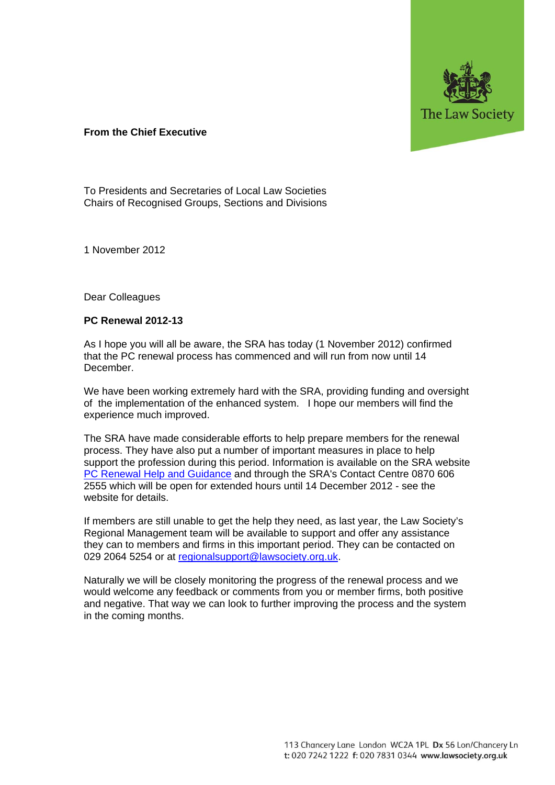

## **From the Chief Executive**

To Presidents and Secretaries of Local Law Societies Chairs of Recognised Groups, Sections and Divisions

1 November 2012

Dear Colleagues

## **PC Renewal 2012-13**

As I hope you will all be aware, the SRA has today (1 November 2012) confirmed that the PC renewal process has commenced and will run from now until 14 December.

We have been working extremely hard with the SRA, providing funding and oversight of the implementation of the enhanced system. I hope our members will find the experience much improved.

The SRA have made considerable efforts to help prepare members for the renewal process. They have also put a number of important measures in place to help support the profession during this period. Information is available on the SRA website PC Renewal Help and Guidance and through the SRA's Contact Centre 0870 606 2555 which will be open for extended hours until 14 December 2012 - see the website for details.

If members are still unable to get the help they need, as last year, the Law Society's Regional Management team will be available to support and offer any assistance they can to members and firms in this important period. They can be contacted on 029 2064 5254 or at regionalsupport@lawsociety.org.uk.

Naturally we will be closely monitoring the progress of the renewal process and we would welcome any feedback or comments from you or member firms, both positive and negative. That way we can look to further improving the process and the system in the coming months.